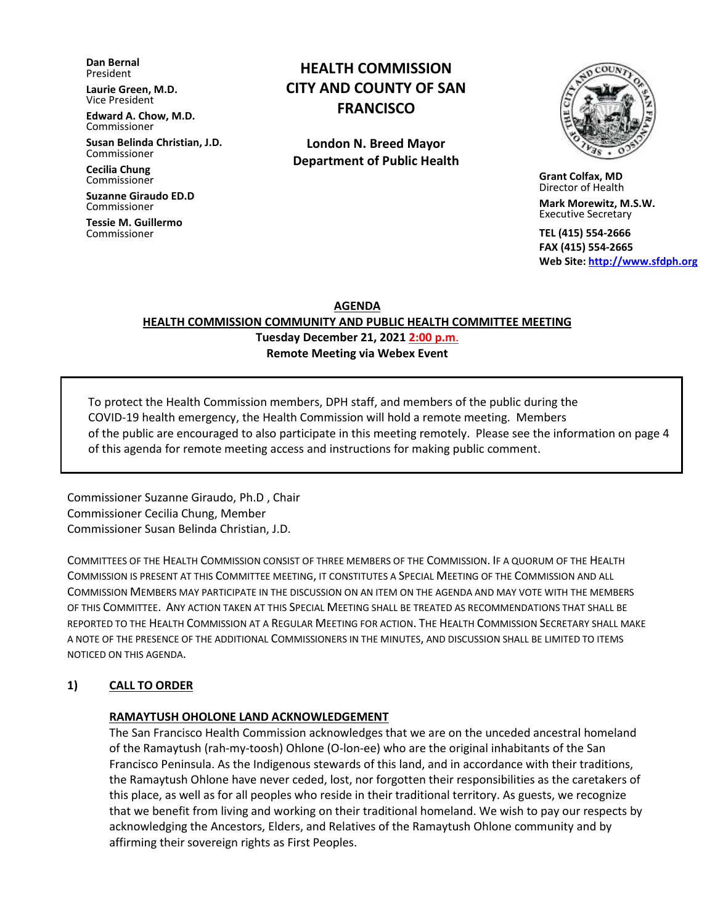**Dan Bernal** President

**Laurie Green, M.D.** Vice President

**Edward A. Chow, M.D.** Commissioner

**Susan Belinda Christian, J.D.** Commissioner

**Cecilia Chung**  Commissioner

**Suzanne Giraudo ED.D** Commissioner

**Tessie M. Guillermo** Commissioner

# **HEALTH COMMISSION CITY AND COUNTY OF SAN FRANCISCO**

**London N. Breed Mayor Department of Public Health**



 **Grant Colfax, MD**  Director of Health

 **Mark Morewitz, M.S.W.**  Executive Secretary

 **TEL (415) 554-2666 FAX (415) 554-2665 Web Site: [http://www.sfdph.org](http://www.sfdph.org/)**

**AGENDA**

**HEALTH COMMISSION COMMUNITY AND PUBLIC HEALTH COMMITTEE MEETING Tuesday December 21, 2021 2:00 p.m**.

**Remote Meeting via Webex Event**

To protect the Health Commission members, DPH staff, and members of the public during the COVID-19 health emergency, the Health Commission will hold a remote meeting. Members of the public are encouraged to also participate in this meeting remotely. Please see the information on page 4 of this agenda for remote meeting access and instructions for making public comment.

Commissioner Suzanne Giraudo, Ph.D , Chair Commissioner Cecilia Chung, Member Commissioner Susan Belinda Christian, J.D.

COMMITTEES OF THE HEALTH COMMISSION CONSIST OF THREE MEMBERS OF THE COMMISSION. IF A QUORUM OF THE HEALTH COMMISSION IS PRESENT AT THIS COMMITTEE MEETING, IT CONSTITUTES A SPECIAL MEETING OF THE COMMISSION AND ALL COMMISSION MEMBERS MAY PARTICIPATE IN THE DISCUSSION ON AN ITEM ON THE AGENDA AND MAY VOTE WITH THE MEMBERS OF THIS COMMITTEE. ANY ACTION TAKEN AT THIS SPECIAL MEETING SHALL BE TREATED AS RECOMMENDATIONS THAT SHALL BE REPORTED TO THE HEALTH COMMISSION AT A REGULAR MEETING FOR ACTION. THE HEALTH COMMISSION SECRETARY SHALL MAKE A NOTE OF THE PRESENCE OF THE ADDITIONAL COMMISSIONERS IN THE MINUTES, AND DISCUSSION SHALL BE LIMITED TO ITEMS NOTICED ON THIS AGENDA.

# **1) CALL TO ORDER**

### **RAMAYTUSH OHOLONE LAND ACKNOWLEDGEMENT**

The San Francisco Health Commission acknowledges that we are on the unceded ancestral homeland of the Ramaytush (rah-my-toosh) Ohlone (O-lon-ee) who are the original inhabitants of the San Francisco Peninsula. As the Indigenous stewards of this land, and in accordance with their traditions, the Ramaytush Ohlone have never ceded, lost, nor forgotten their responsibilities as the caretakers of this place, as well as for all peoples who reside in their traditional territory. As guests, we recognize that we benefit from living and working on their traditional homeland. We wish to pay our respects by acknowledging the Ancestors, Elders, and Relatives of the Ramaytush Ohlone community and by affirming their sovereign rights as First Peoples.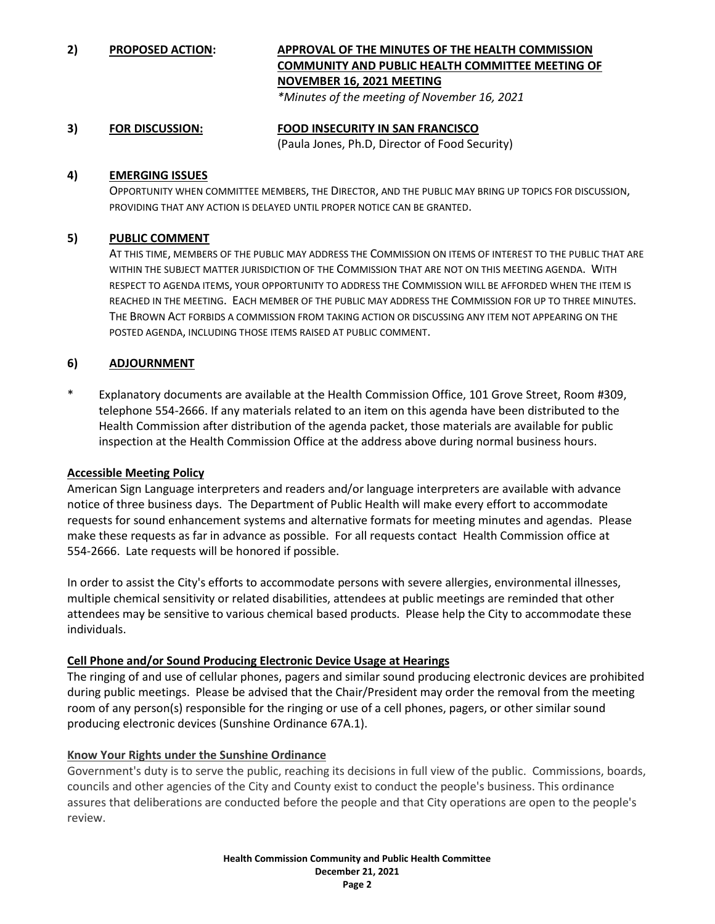**2) PROPOSED ACTION: APPROVAL OF THE MINUTES OF THE HEALTH COMMISSION COMMUNITY AND PUBLIC HEALTH COMMITTEE MEETING OF NOVEMBER 16, 2021 MEETING**

*\*Minutes of the meeting of November 16, 2021*

#### **3) FOR DISCUSSION: FOOD INSECURITY IN SAN FRANCISCO** (Paula Jones, Ph.D, Director of Food Security)

#### **4) EMERGING ISSUES**

OPPORTUNITY WHEN COMMITTEE MEMBERS, THE DIRECTOR, AND THE PUBLIC MAY BRING UP TOPICS FOR DISCUSSION, PROVIDING THAT ANY ACTION IS DELAYED UNTIL PROPER NOTICE CAN BE GRANTED.

### **5) PUBLIC COMMENT**

AT THIS TIME, MEMBERS OF THE PUBLIC MAY ADDRESS THE COMMISSION ON ITEMS OF INTEREST TO THE PUBLIC THAT ARE WITHIN THE SUBJECT MATTER JURISDICTION OF THE COMMISSION THAT ARE NOT ON THIS MEETING AGENDA. WITH RESPECT TO AGENDA ITEMS, YOUR OPPORTUNITY TO ADDRESS THE COMMISSION WILL BE AFFORDED WHEN THE ITEM IS REACHED IN THE MEETING. EACH MEMBER OF THE PUBLIC MAY ADDRESS THE COMMISSION FOR UP TO THREE MINUTES. THE BROWN ACT FORBIDS A COMMISSION FROM TAKING ACTION OR DISCUSSING ANY ITEM NOT APPEARING ON THE POSTED AGENDA, INCLUDING THOSE ITEMS RAISED AT PUBLIC COMMENT.

### **6) ADJOURNMENT**

\* Explanatory documents are available at the Health Commission Office, 101 Grove Street, Room #309, telephone 554-2666. If any materials related to an item on this agenda have been distributed to the Health Commission after distribution of the agenda packet, those materials are available for public inspection at the Health Commission Office at the address above during normal business hours.

### **Accessible Meeting Policy**

American Sign Language interpreters and readers and/or language interpreters are available with advance notice of three business days. The Department of Public Health will make every effort to accommodate requests for sound enhancement systems and alternative formats for meeting minutes and agendas. Please make these requests as far in advance as possible. For all requests contact Health Commission office at 554-2666. Late requests will be honored if possible.

In order to assist the City's efforts to accommodate persons with severe allergies, environmental illnesses, multiple chemical sensitivity or related disabilities, attendees at public meetings are reminded that other attendees may be sensitive to various chemical based products. Please help the City to accommodate these individuals.

### **Cell Phone and/or Sound Producing Electronic Device Usage at Hearings**

The ringing of and use of cellular phones, pagers and similar sound producing electronic devices are prohibited during public meetings. Please be advised that the Chair/President may order the removal from the meeting room of any person(s) responsible for the ringing or use of a cell phones, pagers, or other similar sound producing electronic devices (Sunshine Ordinance 67A.1).

### **Know Your Rights under the Sunshine Ordinance**

Government's duty is to serve the public, reaching its decisions in full view of the public. Commissions, boards, councils and other agencies of the City and County exist to conduct the people's business. This ordinance assures that deliberations are conducted before the people and that City operations are open to the people's review.

> **Health Commission Community and Public Health Committee December 21, 2021 Page 2**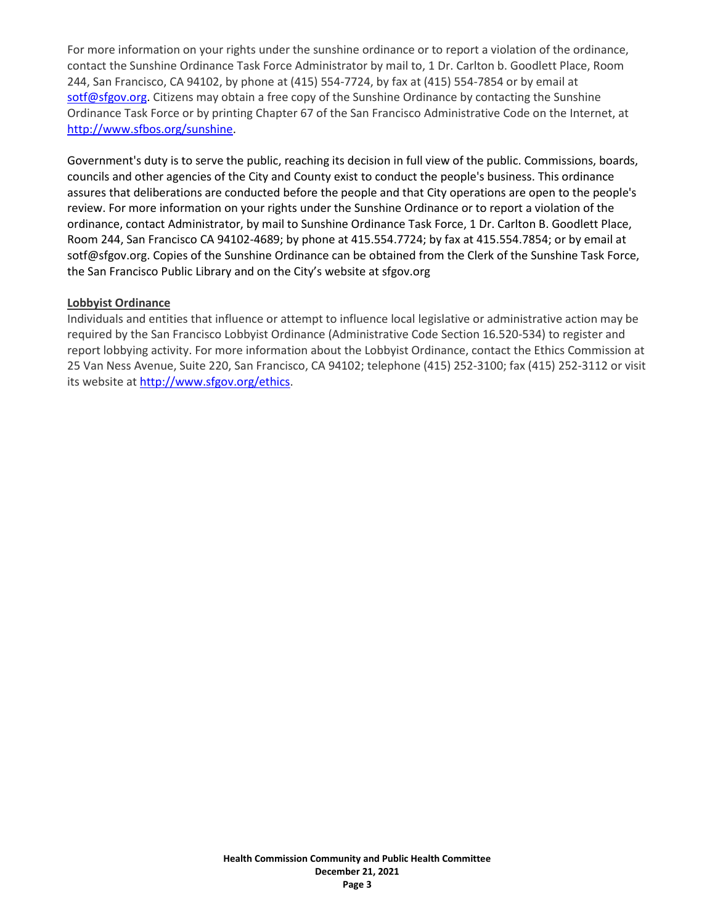For more information on your rights under the sunshine ordinance or to report a violation of the ordinance, contact the Sunshine Ordinance Task Force Administrator by mail to, 1 Dr. Carlton b. Goodlett Place, Room 244, San Francisco, CA 94102, by phone at (415) 554-7724, by fax at (415) 554-7854 or by email at [sotf@sfgov.org.](mailto:sotf@sfgov.org) Citizens may obtain a free copy of the Sunshine Ordinance by contacting the Sunshine Ordinance Task Force or by printing Chapter 67 of the San Francisco Administrative Code on the Internet, at [http://www.sfbos.org/sunshine.](http://www.sfbos.org/index.aspx?page=4459)

Government's duty is to serve the public, reaching its decision in full view of the public. Commissions, boards, councils and other agencies of the City and County exist to conduct the people's business. This ordinance assures that deliberations are conducted before the people and that City operations are open to the people's review. For more information on your rights under the Sunshine Ordinance or to report a violation of the ordinance, contact Administrator, by mail to Sunshine Ordinance Task Force, 1 Dr. Carlton B. Goodlett Place, Room 244, San Francisco CA 94102-4689; by phone at 415.554.7724; by fax at 415.554.7854; or by email at sotf@sfgov.org. Copies of the Sunshine Ordinance can be obtained from the Clerk of the Sunshine Task Force, the San Francisco Public Library and on the City's website at sfgov.org

### **Lobbyist Ordinance**

Individuals and entities that influence or attempt to influence local legislative or administrative action may be required by the San Francisco Lobbyist Ordinance (Administrative Code Section 16.520-534) to register and report lobbying activity. For more information about the Lobbyist Ordinance, contact the Ethics Commission at 25 Van Ness Avenue, Suite 220, San Francisco, CA 94102; telephone (415) 252-3100; fax (415) 252-3112 or visit its website a[t http://www.sfgov.org/ethics.](http://www.sfgov.org/ethics)